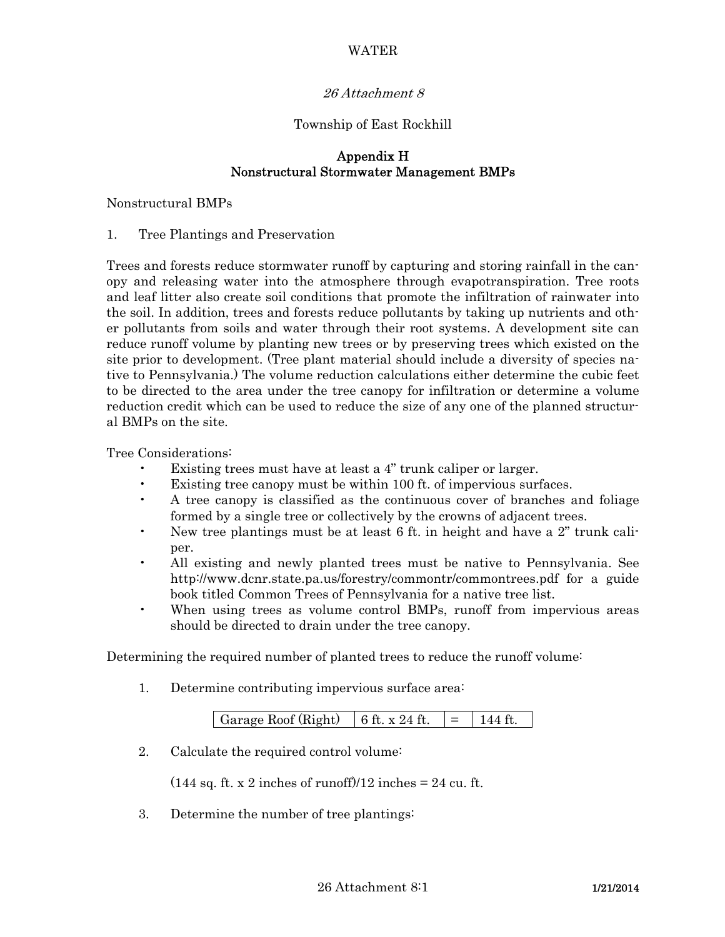# WATER

### 26 Attachment 8

#### Township of East Rockhill

### Appendix H Nonstructural Stormwater Management BMPs

#### Nonstructural BMPs

#### 1. Tree Plantings and Preservation

Trees and forests reduce stormwater runoff by capturing and storing rainfall in the canopy and releasing water into the atmosphere through evapotranspiration. Tree roots and leaf litter also create soil conditions that promote the infiltration of rainwater into the soil. In addition, trees and forests reduce pollutants by taking up nutrients and other pollutants from soils and water through their root systems. A development site can reduce runoff volume by planting new trees or by preserving trees which existed on the site prior to development. (Tree plant material should include a diversity of species native to Pennsylvania.) The volume reduction calculations either determine the cubic feet to be directed to the area under the tree canopy for infiltration or determine a volume reduction credit which can be used to reduce the size of any one of the planned structural BMPs on the site.

Tree Considerations:

- Existing trees must have at least a 4" trunk caliper or larger.
- Existing tree canopy must be within 100 ft. of impervious surfaces.
- A tree canopy is classified as the continuous cover of branches and foliage formed by a single tree or collectively by the crowns of adjacent trees.
- New tree plantings must be at least 6 ft. in height and have a 2" trunk caliper.
- All existing and newly planted trees must be native to Pennsylvania. See http://www.dcnr.state.pa.us/forestry/commontr/commontrees.pdf for a guide book titled Common Trees of Pennsylvania for a native tree list.
- When using trees as volume control BMPs, runoff from impervious areas should be directed to drain under the tree canopy.

Determining the required number of planted trees to reduce the runoff volume:

1. Determine contributing impervious surface area:

| Garage Roof (Right)<br>$6 \text{ ft. x } 24 \text{ ft.}$ |
|----------------------------------------------------------|
|----------------------------------------------------------|

2. Calculate the required control volume:

 $(144 \text{ sq. ft. x } 2 \text{ inches of runoff})/12 \text{ inches} = 24 \text{ cu. ft.}$ 

3. Determine the number of tree plantings: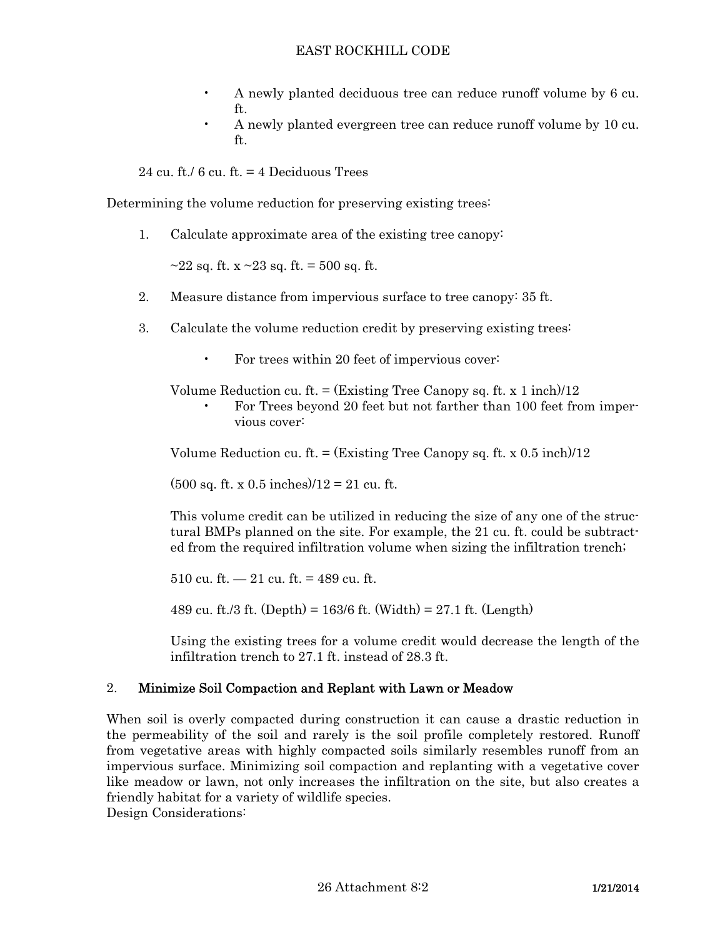- A newly planted deciduous tree can reduce runoff volume by 6 cu. ft.
- A newly planted evergreen tree can reduce runoff volume by 10 cu. ft.

24 cu. ft./  $6 \text{ cu. ft.} = 4$  Deciduous Trees

Determining the volume reduction for preserving existing trees:

1. Calculate approximate area of the existing tree canopy:

 $\sim$ 22 sq. ft. x  $\sim$ 23 sq. ft. = 500 sq. ft.

- 2. Measure distance from impervious surface to tree canopy: 35 ft.
- 3. Calculate the volume reduction credit by preserving existing trees:
	- For trees within 20 feet of impervious cover:

Volume Reduction cu. ft.  $=$  (Existing Tree Canopy sq. ft. x 1 inch)/12

 • For Trees beyond 20 feet but not farther than 100 feet from impervious cover:

Volume Reduction cu. ft.  $=$  (Existing Tree Canopy sq. ft. x 0.5 inch)/12

 $(500 \text{ sq. ft. x } 0.5 \text{ inches})/12 = 21 \text{ cu. ft.}$ 

 This volume credit can be utilized in reducing the size of any one of the structural BMPs planned on the site. For example, the 21 cu. ft. could be subtracted from the required infiltration volume when sizing the infiltration trench;

510 cu. ft.  $-21$  cu. ft. = 489 cu. ft.

489 cu. ft./3 ft. (Depth) =  $163/6$  ft. (Width) =  $27.1$  ft. (Length)

 Using the existing trees for a volume credit would decrease the length of the infiltration trench to 27.1 ft. instead of 28.3 ft.

# 2. Minimize Soil Compaction and Replant with Lawn or Meadow

When soil is overly compacted during construction it can cause a drastic reduction in the permeability of the soil and rarely is the soil profile completely restored. Runoff from vegetative areas with highly compacted soils similarly resembles runoff from an impervious surface. Minimizing soil compaction and replanting with a vegetative cover like meadow or lawn, not only increases the infiltration on the site, but also creates a friendly habitat for a variety of wildlife species.

Design Considerations: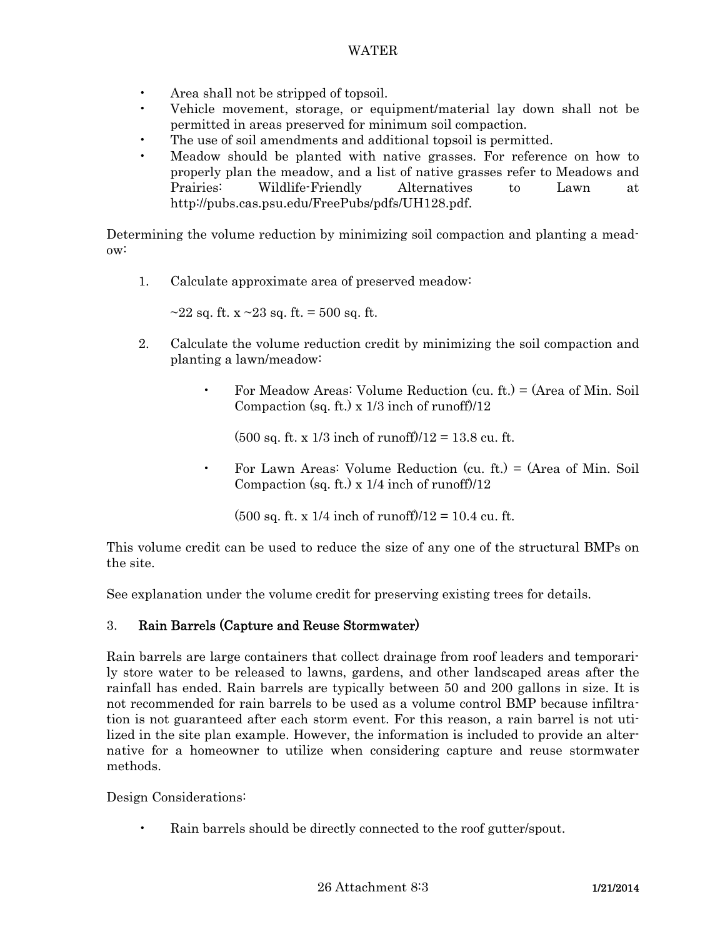- Area shall not be stripped of topsoil.
- Vehicle movement, storage, or equipment/material lay down shall not be permitted in areas preserved for minimum soil compaction.
- The use of soil amendments and additional topsoil is permitted.
- Meadow should be planted with native grasses. For reference on how to properly plan the meadow, and a list of native grasses refer to Meadows and Prairies: Wildlife-Friendly Alternatives to Lawn at http://pubs.cas.psu.edu/FreePubs/pdfs/UH128.pdf.

Determining the volume reduction by minimizing soil compaction and planting a meadow:

1. Calculate approximate area of preserved meadow:

 $\sim$ 22 sq. ft. x  $\sim$ 23 sq. ft. = 500 sq. ft.

- 2. Calculate the volume reduction credit by minimizing the soil compaction and planting a lawn/meadow:
	- For Meadow Areas: Volume Reduction (cu. ft.) = (Area of Min. Soil Compaction (sq. ft.) x  $1/3$  inch of runoff) $/12$

 $(500 \text{ sq. ft. x } 1/3 \text{ inch of runoff})/12 = 13.8 \text{ cu. ft.}$ 

 • For Lawn Areas: Volume Reduction (cu. ft.) = (Area of Min. Soil Compaction (sq. ft.) x  $1/4$  inch of runoff)/12

 $(500 \text{ sq. ft. x } 1/4 \text{ inch of runoff})/12 = 10.4 \text{ cu. ft.}$ 

This volume credit can be used to reduce the size of any one of the structural BMPs on the site.

See explanation under the volume credit for preserving existing trees for details.

# 3. Rain Barrels (Capture and Reuse Stormwater)

Rain barrels are large containers that collect drainage from roof leaders and temporarily store water to be released to lawns, gardens, and other landscaped areas after the rainfall has ended. Rain barrels are typically between 50 and 200 gallons in size. It is not recommended for rain barrels to be used as a volume control BMP because infiltration is not guaranteed after each storm event. For this reason, a rain barrel is not utilized in the site plan example. However, the information is included to provide an alternative for a homeowner to utilize when considering capture and reuse stormwater methods.

Design Considerations:

• Rain barrels should be directly connected to the roof gutter/spout.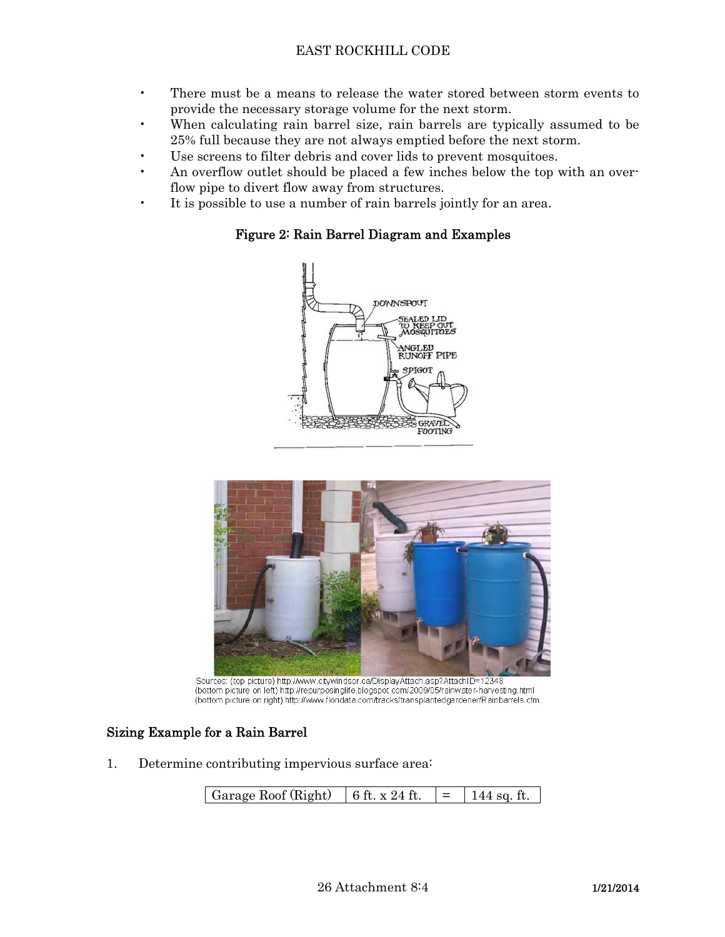- There must be a means to release the water stored between storm events to provide the necessary storage volume for the next storm.
- When calculating rain barrel size, rain barrels are typically assumed to be 25% full because they are not always emptied before the next storm.
- Use screens to filter debris and cover lids to prevent mosquitoes.
- An overflow outlet should be placed a few inches below the top with an overflow pipe to divert flow away from structures.
- It is possible to use a number of rain barrels jointly for an area.

# Figure 2: Rain Barrel Diagram and Examples





Sources: (top picture) http://www.citywindsor.ca/DisplayAttach.asp?AttachID=12348 (bottom picture on left) http://repurposinglife.blogspot.com/2009/05/rainwater-harvesting.html (bottom picture on right) http://www.floridata.com/tracks/transplantedgardener/Rainbarrels.cfm

# Sizing Example for a Rain Barrel

1. Determine contributing impervious surface area: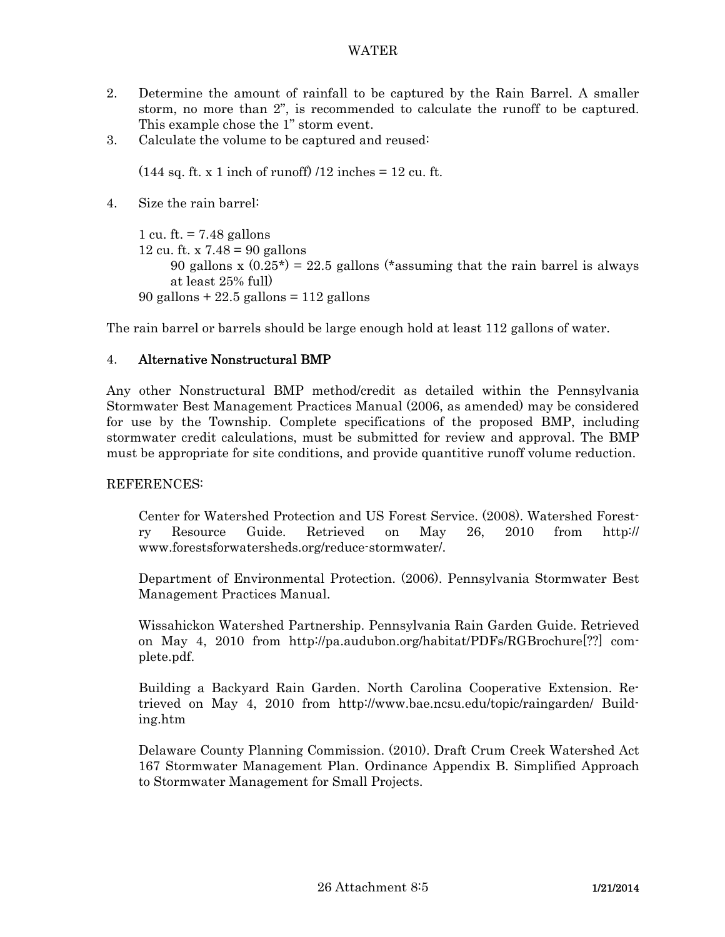- 2. Determine the amount of rainfall to be captured by the Rain Barrel. A smaller storm, no more than 2", is recommended to calculate the runoff to be captured. This example chose the 1" storm event.
- 3. Calculate the volume to be captured and reused:

 $(144 \text{ sq. ft. x } 1 \text{ inch of runoff})$  /12 inches = 12 cu. ft.

4. Size the rain barrel:

```
 1 cu. ft. = 7.48 gallons 
12 cu. ft. x 7.48 = 90 gallons
     90 gallons x (0.25^*) = 22.5 gallons (*assuming that the rain barrel is always
     at least 25% full) 
90 gallons + 22.5 gallons = 112 gallons
```
The rain barrel or barrels should be large enough hold at least 112 gallons of water.

# 4. Alternative Nonstructural BMP

Any other Nonstructural BMP method/credit as detailed within the Pennsylvania Stormwater Best Management Practices Manual (2006, as amended) may be considered for use by the Township. Complete specifications of the proposed BMP, including stormwater credit calculations, must be submitted for review and approval. The BMP must be appropriate for site conditions, and provide quantitive runoff volume reduction.

#### REFERENCES:

 Center for Watershed Protection and US Forest Service. (2008). Watershed Forestry Resource Guide. Retrieved on May 26, 2010 from http:// www.forestsforwatersheds.org/reduce-stormwater/.

 Department of Environmental Protection. (2006). Pennsylvania Stormwater Best Management Practices Manual.

 Wissahickon Watershed Partnership. Pennsylvania Rain Garden Guide. Retrieved on May 4, 2010 from http://pa.audubon.org/habitat/PDFs/RGBrochure[??] complete.pdf.

 Building a Backyard Rain Garden. North Carolina Cooperative Extension. Retrieved on May 4, 2010 from http://www.bae.ncsu.edu/topic/raingarden/ Building.htm

 Delaware County Planning Commission. (2010). Draft Crum Creek Watershed Act 167 Stormwater Management Plan. Ordinance Appendix B. Simplified Approach to Stormwater Management for Small Projects.